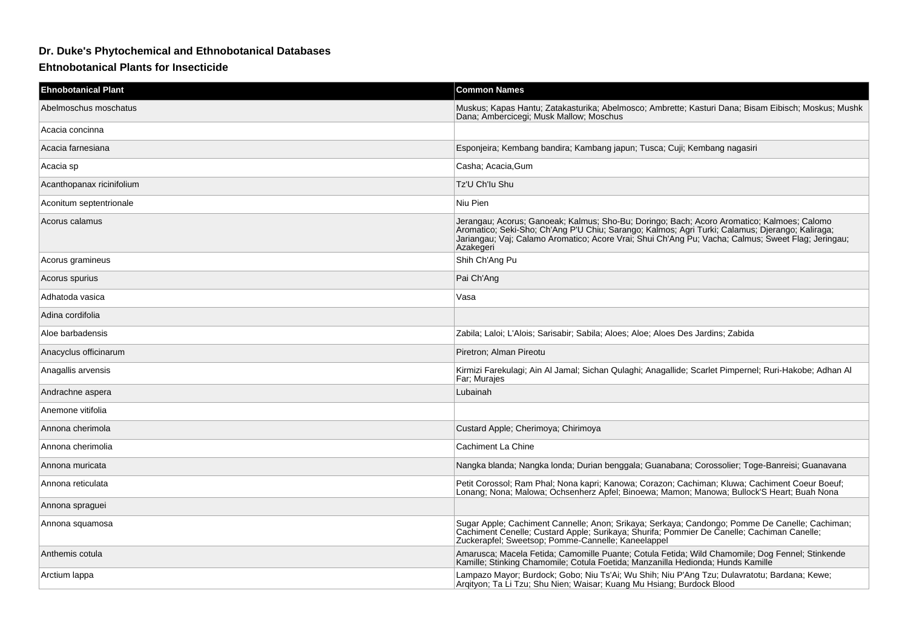## **Dr. Duke's Phytochemical and Ethnobotanical Databases**

## **Ehtnobotanical Plants for Insecticide**

| <b>Ehnobotanical Plant</b> | <b>Common Names</b>                                                                                                                                                                                                                                                                                                                            |
|----------------------------|------------------------------------------------------------------------------------------------------------------------------------------------------------------------------------------------------------------------------------------------------------------------------------------------------------------------------------------------|
| Abelmoschus moschatus      | Muskus; Kapas Hantu; Zatakasturika; Abelmosco; Ambrette; Kasturi Dana; Bisam Eibisch; Moskus; Mushk<br>Dana; Ambercicegi; Musk Mallow; Moschus                                                                                                                                                                                                 |
| Acacia concinna            |                                                                                                                                                                                                                                                                                                                                                |
| Acacia farnesiana          | Esponjeira; Kembang bandira; Kambang japun; Tusca; Cuji; Kembang nagasiri                                                                                                                                                                                                                                                                      |
| Acacia sp                  | Casha; Acacia, Gum                                                                                                                                                                                                                                                                                                                             |
| Acanthopanax ricinifolium  | Tz'U Ch'lu Shu                                                                                                                                                                                                                                                                                                                                 |
| Aconitum septentrionale    | Niu Pien                                                                                                                                                                                                                                                                                                                                       |
| Acorus calamus             | Jerangau; Acorus; Ganoeak; Kalmus; Sho-Bu; Doringo; Bach; Acoro Aromatico; Kalmoes; Calomo<br>Science Colline Connection (National Colline Colline Colline Colline Colline Colline Colline Colline Colline C<br>  Aromatico; Seki-Sho; Ch'Ang P'U Chiu; Sarango; Kalmos; Agri Turki; Calamus; Djerango; Kaliraga;<br>  Jariangau;<br>Azakegeri |
| Acorus gramineus           | Shih Ch'Ang Pu                                                                                                                                                                                                                                                                                                                                 |
| Acorus spurius             | Pai Ch'Ang                                                                                                                                                                                                                                                                                                                                     |
| Adhatoda vasica            | Vasa                                                                                                                                                                                                                                                                                                                                           |
| Adina cordifolia           |                                                                                                                                                                                                                                                                                                                                                |
| Aloe barbadensis           | Zabila; Laloi; L'Alois; Sarisabir; Sabila; Aloes; Aloe; Aloes Des Jardins; Zabida                                                                                                                                                                                                                                                              |
| Anacyclus officinarum      | Piretron; Alman Pireotu                                                                                                                                                                                                                                                                                                                        |
| Anagallis arvensis         | Kirmizi Farekulagi; Ain Al Jamal; Sichan Qulaghi; Anagallide; Scarlet Pimpernel; Ruri-Hakobe; Adhan Al<br>Far; Murajes                                                                                                                                                                                                                         |
| Andrachne aspera           | Lubainah                                                                                                                                                                                                                                                                                                                                       |
| Anemone vitifolia          |                                                                                                                                                                                                                                                                                                                                                |
| Annona cherimola           | Custard Apple; Cherimoya; Chirimoya                                                                                                                                                                                                                                                                                                            |
| Annona cherimolia          | Cachiment La Chine                                                                                                                                                                                                                                                                                                                             |
| Annona muricata            | Nangka blanda; Nangka londa; Durian benggala; Guanabana; Corossolier; Toge-Banreisi; Guanavana                                                                                                                                                                                                                                                 |
| Annona reticulata          | Petit Corossol; Ram Phal; Nona kapri; Kanowa; Corazon; Cachiman; Kluwa; Cachiment Coeur Boeuf;<br>Lonang; Nona; Malowa; Ochsenherz Apfel; Binoewa; Mamon; Manowa; Bullock'S Heart; Buah Nona                                                                                                                                                   |
| Annona spraguei            |                                                                                                                                                                                                                                                                                                                                                |
| Annona squamosa            | Sugar Apple; Cachiment Cannelle; Anon; Srikaya; Serkaya; Candongo; Pomme De Canelle; Cachiman;<br>Cachiment Cenelle; Custard Apple; Surikaya; Shurifa; Pommier De Canelle; Cachiman Canelle;<br>Zuckerapfel; Sweetsop; Pomme-Cannelle; Kaneelappel                                                                                             |
| Anthemis cotula            | Amarusca; Macela Fetida; Camomille Puante; Cotula Fetida; Wild Chamomile; Dog Fennel; Stinkende<br>Kamille; Stinking Chamomile; Cotula Foetida; Manzanilla Hedionda; Hunds Kamille                                                                                                                                                             |
| Arctium lappa              | Lampazo Mayor; Burdock; Gobo; Niu Ts'Ai; Wu Shih; Niu P'Ang Tzu; Dulavratotu; Bardana; Kewe;<br>Arqityon; Ta Li Tzu; Shu Nien; Waisar; Kuang Mu Hsiang; Burdock Blood                                                                                                                                                                          |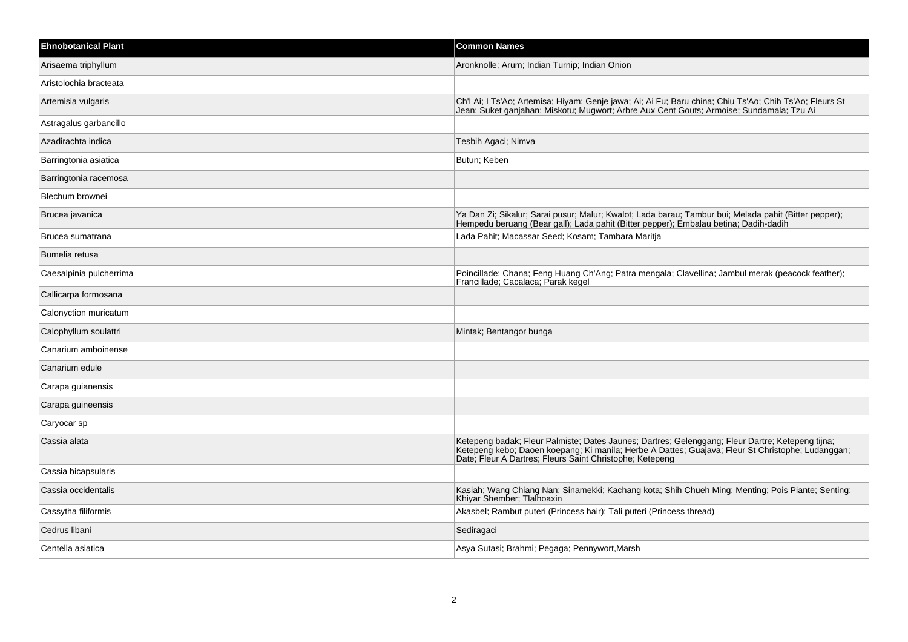| <b>Ehnobotanical Plant</b> | <b>Common Names</b>                                                                                                                                                                                                                                               |
|----------------------------|-------------------------------------------------------------------------------------------------------------------------------------------------------------------------------------------------------------------------------------------------------------------|
| Arisaema triphyllum        | Aronknolle; Arum; Indian Turnip; Indian Onion                                                                                                                                                                                                                     |
| Aristolochia bracteata     |                                                                                                                                                                                                                                                                   |
| Artemisia vulgaris         | Ch'l Ai; I Ts'Ao; Artemisa; Hiyam; Genje jawa; Ai; Ai Fu; Baru china; Chiu Ts'Ao; Chih Ts'Ao; Fleurs St<br>Jean; Suket ganjahan; Miskotu; Mugwort; Arbre Aux Cent Gouts; Armoise; Sundamala; Tzu Ai                                                               |
| Astragalus garbancillo     |                                                                                                                                                                                                                                                                   |
| Azadirachta indica         | Tesbih Agaci; Nimva                                                                                                                                                                                                                                               |
| Barringtonia asiatica      | Butun; Keben                                                                                                                                                                                                                                                      |
| Barringtonia racemosa      |                                                                                                                                                                                                                                                                   |
| Blechum brownei            |                                                                                                                                                                                                                                                                   |
| Brucea javanica            | Ya Dan Zi; Sikalur; Sarai pusur; Malur; Kwalot; Lada barau; Tambur bui; Melada pahit (Bitter pepper);<br>Hempedu beruang (Bear gall); Lada pahit (Bitter pepper); Embalau betina; Dadih-dadih                                                                     |
| Brucea sumatrana           | Lada Pahit; Macassar Seed; Kosam; Tambara Maritja                                                                                                                                                                                                                 |
| Bumelia retusa             |                                                                                                                                                                                                                                                                   |
| Caesalpinia pulcherrima    | Poincillade; Chana; Feng Huang Ch'Ang; Patra mengala; Clavellina; Jambul merak (peacock feather);<br>Francillade; Cacalaca; Parak kegel                                                                                                                           |
| Callicarpa formosana       |                                                                                                                                                                                                                                                                   |
| Calonyction muricatum      |                                                                                                                                                                                                                                                                   |
| Calophyllum soulattri      | Mintak; Bentangor bunga                                                                                                                                                                                                                                           |
| Canarium amboinense        |                                                                                                                                                                                                                                                                   |
| Canarium edule             |                                                                                                                                                                                                                                                                   |
| Carapa guianensis          |                                                                                                                                                                                                                                                                   |
| Carapa guineensis          |                                                                                                                                                                                                                                                                   |
| Caryocar sp                |                                                                                                                                                                                                                                                                   |
| Cassia alata               | Ketepeng badak. Fleur Palmiste, Dates Jaunes, Dartres, Gelenggang, Fleur Dartre, Ketepeng tijna,<br>Ketepeng kebo; Daoen koepang; Ki manila; Herbe A Dattes; Guajava; Fleur St Christophe; Ludanggan;<br>Date; Fleur A Dartres; Fleurs Saint Christophe; Ketepeng |
| Cassia bicapsularis        |                                                                                                                                                                                                                                                                   |
| Cassia occidentalis        | Kasiah; Wang Chiang Nan; Sinamekki; Kachang kota; Shih Chueh Ming; Menting; Pois Piante; Senting; Khiyar Shember; Tlalhoaxin                                                                                                                                      |
| Cassytha filiformis        | Akasbel; Rambut puteri (Princess hair); Tali puteri (Princess thread)                                                                                                                                                                                             |
| Cedrus libani              | Sediragaci                                                                                                                                                                                                                                                        |
| Centella asiatica          | Asya Sutasi; Brahmi; Pegaga; Pennywort, Marsh                                                                                                                                                                                                                     |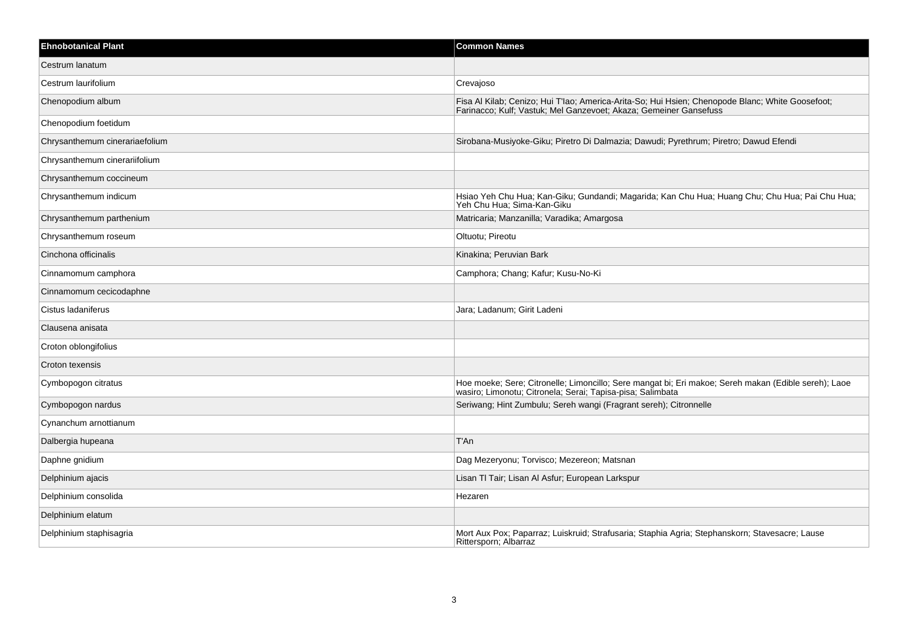| <b>Ehnobotanical Plant</b>     | <b>Common Names</b>                                                                                                                                                |
|--------------------------------|--------------------------------------------------------------------------------------------------------------------------------------------------------------------|
| Cestrum lanatum                |                                                                                                                                                                    |
| Cestrum laurifolium            | Crevajoso                                                                                                                                                          |
| Chenopodium album              | Fisa Al Kilab; Cenizo; Hui T'lao; America-Arita-So; Hui Hsien; Chenopode Blanc; White Goosefoot; Farinacco; Kulf; Vastuk; Mel Ganzevoet; Akaza; Gemeiner Gansefuss |
| Chenopodium foetidum           |                                                                                                                                                                    |
| Chrysanthemum cinerariaefolium | Sirobana-Musiyoke-Giku; Piretro Di Dalmazia; Dawudi; Pyrethrum; Piretro; Dawud Efendi                                                                              |
| Chrysanthemum cinerariifolium  |                                                                                                                                                                    |
| Chrysanthemum coccineum        |                                                                                                                                                                    |
| Chrysanthemum indicum          | Hsiao Yeh Chu Hua; Kan-Giku; Gundandi; Magarida; Kan Chu Hua; Huang Chu; Chu Hua; Pai Chu Hua;<br>Yeh Chu Hua; Sima-Kan-Giku                                       |
| Chrysanthemum parthenium       | Matricaria; Manzanilla; Varadika; Amargosa                                                                                                                         |
| Chrysanthemum roseum           | Oltuotu; Pireotu                                                                                                                                                   |
| Cinchona officinalis           | Kinakina; Peruvian Bark                                                                                                                                            |
| Cinnamomum camphora            | Camphora; Chang; Kafur; Kusu-No-Ki                                                                                                                                 |
| Cinnamomum cecicodaphne        |                                                                                                                                                                    |
| Cistus ladaniferus             | Jara; Ladanum; Girit Ladeni                                                                                                                                        |
| Clausena anisata               |                                                                                                                                                                    |
| Croton oblongifolius           |                                                                                                                                                                    |
| Croton texensis                |                                                                                                                                                                    |
| Cymbopogon citratus            | Hoe moeke; Sere; Citronelle; Limoncillo; Sere mangat bi; Eri makoe; Sereh makan (Edible sereh); Laoe wasiro; Limonotu; Citronela; Serai; Tapisa-pisa; Salimbata    |
| Cymbopogon nardus              | Seriwang; Hint Zumbulu; Sereh wangi (Fragrant sereh); Citronnelle                                                                                                  |
| Cynanchum arnottianum          |                                                                                                                                                                    |
| Dalbergia hupeana              | T'An                                                                                                                                                               |
| Daphne gnidium                 | Dag Mezeryonu; Torvisco; Mezereon; Matsnan                                                                                                                         |
| Delphinium ajacis              | Lisan TI Tair; Lisan Al Asfur; European Larkspur                                                                                                                   |
| Delphinium consolida           | Hezaren                                                                                                                                                            |
| Delphinium elatum              |                                                                                                                                                                    |
| Delphinium staphisagria        | Mort Aux Pox; Paparraz; Luiskruid; Strafusaria; Staphia Agria; Stephanskorn; Stavesacre; Lause<br>Rittersporn; Albarraz                                            |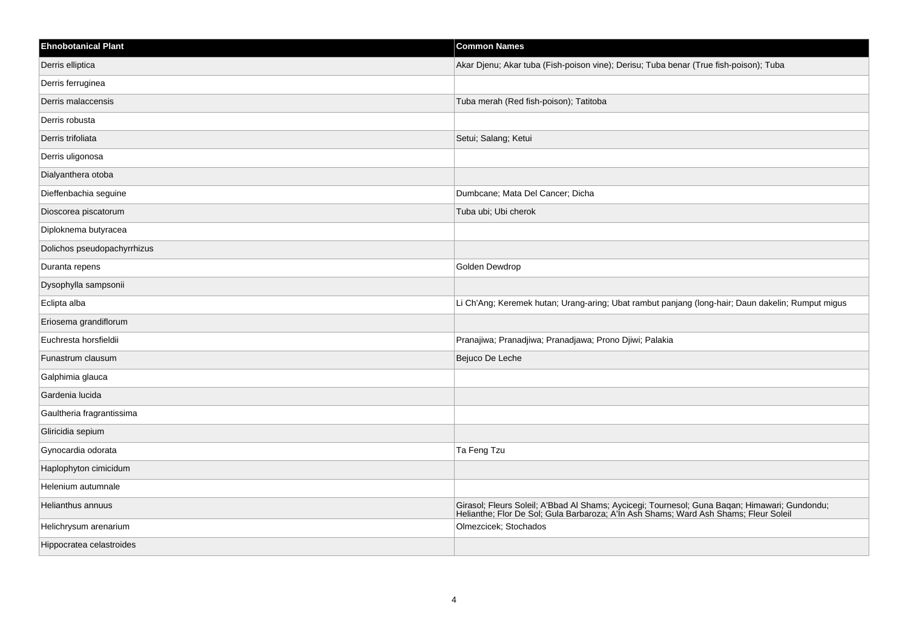| <b>Ehnobotanical Plant</b>  | <b>Common Names</b>                                                                                                                                                                   |
|-----------------------------|---------------------------------------------------------------------------------------------------------------------------------------------------------------------------------------|
| Derris elliptica            | Akar Djenu; Akar tuba (Fish-poison vine); Derisu; Tuba benar (True fish-poison); Tuba                                                                                                 |
| Derris ferruginea           |                                                                                                                                                                                       |
| Derris malaccensis          | Tuba merah (Red fish-poison); Tatitoba                                                                                                                                                |
| Derris robusta              |                                                                                                                                                                                       |
| Derris trifoliata           | Setui; Salang; Ketui                                                                                                                                                                  |
| Derris uligonosa            |                                                                                                                                                                                       |
| Dialyanthera otoba          |                                                                                                                                                                                       |
| Dieffenbachia seguine       | Dumbcane; Mata Del Cancer; Dicha                                                                                                                                                      |
| Dioscorea piscatorum        | Tuba ubi; Ubi cherok                                                                                                                                                                  |
| Diploknema butyracea        |                                                                                                                                                                                       |
| Dolichos pseudopachyrrhizus |                                                                                                                                                                                       |
| Duranta repens              | Golden Dewdrop                                                                                                                                                                        |
| Dysophylla sampsonii        |                                                                                                                                                                                       |
| Eclipta alba                | Li Ch'Ang; Keremek hutan; Urang-aring; Ubat rambut panjang (long-hair; Daun dakelin; Rumput migus                                                                                     |
| Eriosema grandiflorum       |                                                                                                                                                                                       |
| Euchresta horsfieldii       | Pranajiwa; Pranadjiwa; Pranadjawa; Prono Djiwi; Palakia                                                                                                                               |
| Funastrum clausum           | Bejuco De Leche                                                                                                                                                                       |
| Galphimia glauca            |                                                                                                                                                                                       |
| Gardenia lucida             |                                                                                                                                                                                       |
| Gaultheria fragrantissima   |                                                                                                                                                                                       |
| Gliricidia sepium           |                                                                                                                                                                                       |
| Gynocardia odorata          | Ta Feng Tzu                                                                                                                                                                           |
| Haplophyton cimicidum       |                                                                                                                                                                                       |
| Helenium autumnale          |                                                                                                                                                                                       |
| Helianthus annuus           | Girasol; Fleurs Soleil; A'Bbad Al Shams; Aycicegi; Tournesol; Guna Baqan; Himawari; Gundondu;<br>Helianthe; Flor De Sol; Gula Barbaroza; A'ln Ash Shams; Ward Ash Shams; Fleur Soleil |
| Helichrysum arenarium       | Olmezcicek; Stochados                                                                                                                                                                 |
| Hippocratea celastroides    |                                                                                                                                                                                       |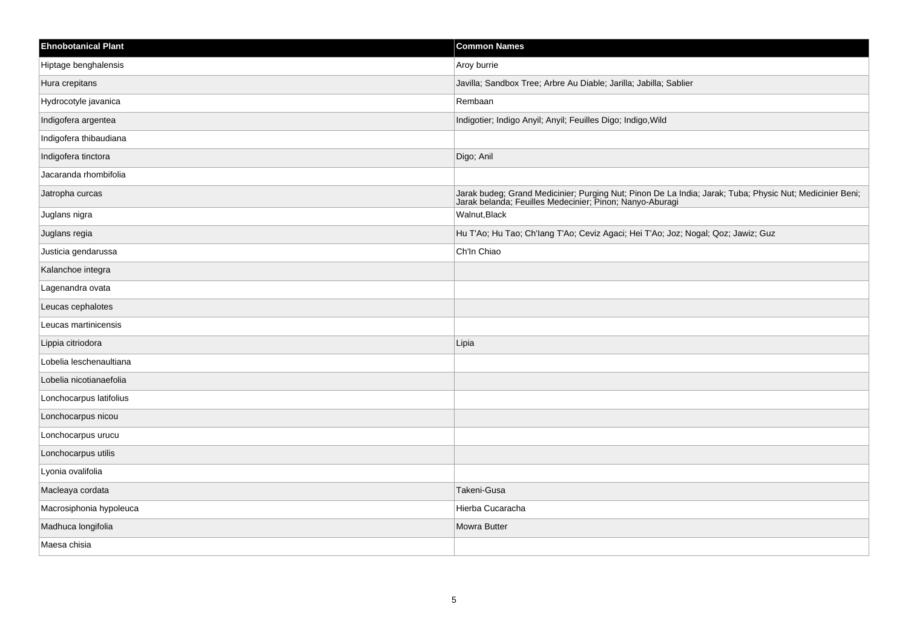| <b>Ehnobotanical Plant</b> | <b>Common Names</b>                                                                                                                                               |
|----------------------------|-------------------------------------------------------------------------------------------------------------------------------------------------------------------|
| Hiptage benghalensis       | Aroy burrie                                                                                                                                                       |
| Hura crepitans             | Javilla; Sandbox Tree; Arbre Au Diable; Jarilla; Jabilla; Sablier                                                                                                 |
| Hydrocotyle javanica       | Rembaan                                                                                                                                                           |
| Indigofera argentea        | Indigotier; Indigo Anyil; Anyil; Feuilles Digo; Indigo, Wild                                                                                                      |
| Indigofera thibaudiana     |                                                                                                                                                                   |
| Indigofera tinctora        | Digo; Anil                                                                                                                                                        |
| Jacaranda rhombifolia      |                                                                                                                                                                   |
| Jatropha curcas            | Jarak budeg; Grand Medicinier; Purging Nut; Pinon De La India; Jarak; Tuba; Physic Nut; Medicinier Beni; Jarak belanda; Feuilles Medecinier; Pinon; Nanyo-Aburagi |
| Juglans nigra              | Walnut, Black                                                                                                                                                     |
| Juglans regia              | Hu T'Ao; Hu Tao; Ch'lang T'Ao; Ceviz Agaci; Hei T'Ao; Joz; Nogal; Qoz; Jawiz; Guz                                                                                 |
| Justicia gendarussa        | Ch'In Chiao                                                                                                                                                       |
| Kalanchoe integra          |                                                                                                                                                                   |
| Lagenandra ovata           |                                                                                                                                                                   |
| Leucas cephalotes          |                                                                                                                                                                   |
| Leucas martinicensis       |                                                                                                                                                                   |
| Lippia citriodora          | Lipia                                                                                                                                                             |
| Lobelia leschenaultiana    |                                                                                                                                                                   |
| Lobelia nicotianaefolia    |                                                                                                                                                                   |
| Lonchocarpus latifolius    |                                                                                                                                                                   |
| Lonchocarpus nicou         |                                                                                                                                                                   |
| Lonchocarpus urucu         |                                                                                                                                                                   |
| Lonchocarpus utilis        |                                                                                                                                                                   |
| Lyonia ovalifolia          |                                                                                                                                                                   |
| Macleaya cordata           | Takeni-Gusa                                                                                                                                                       |
| Macrosiphonia hypoleuca    | Hierba Cucaracha                                                                                                                                                  |
| Madhuca longifolia         | Mowra Butter                                                                                                                                                      |
| Maesa chisia               |                                                                                                                                                                   |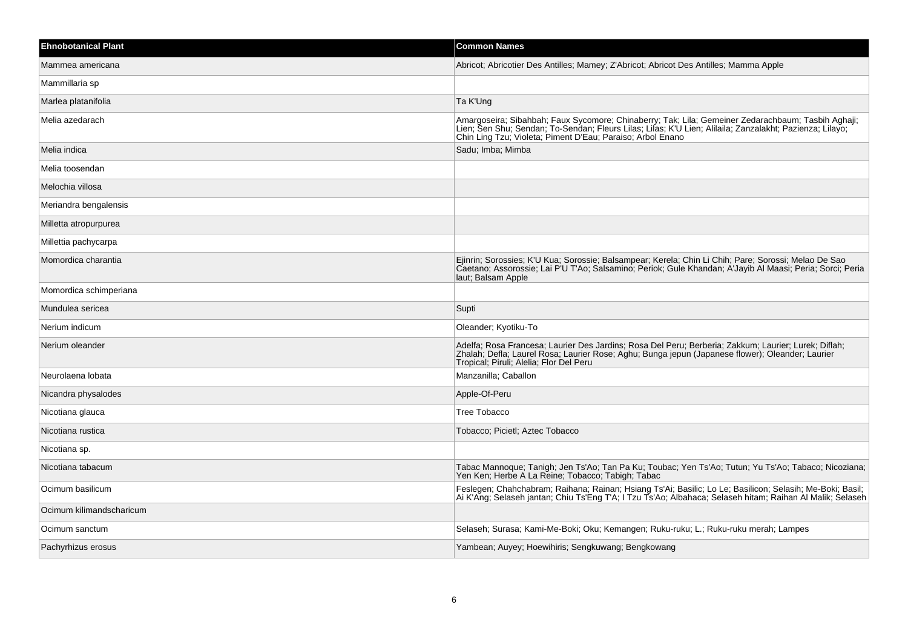| <b>Ehnobotanical Plant</b> | <b>Common Names</b>                                                                                                                                                                                                                                                          |
|----------------------------|------------------------------------------------------------------------------------------------------------------------------------------------------------------------------------------------------------------------------------------------------------------------------|
| Mammea americana           | Abricot; Abricotier Des Antilles; Mamey; Z'Abricot; Abricot Des Antilles; Mamma Apple                                                                                                                                                                                        |
| Mammillaria sp             |                                                                                                                                                                                                                                                                              |
| Marlea platanifolia        | Ta K'Ung                                                                                                                                                                                                                                                                     |
| Melia azedarach            | Amargoseira; Sibahbah; Faux Sycomore; Chinaberry; Tak; Lila; Gemeiner Zedarachbaum; Tasbih Aghaji;<br>Lien; Sen Shu; Sendan; To-Sendan; Fleurs Lilas; Lilas; K'U Lien; Alilaila; Zanzalakht; Pazienza; Lilayo;<br>Chin Ling Tzu, Violeta; Piment D'Eau; Paraiso; Arbol Enano |
| Melia indica               | Sadu; Imba; Mimba                                                                                                                                                                                                                                                            |
| Melia toosendan            |                                                                                                                                                                                                                                                                              |
| Melochia villosa           |                                                                                                                                                                                                                                                                              |
| Meriandra bengalensis      |                                                                                                                                                                                                                                                                              |
| Milletta atropurpurea      |                                                                                                                                                                                                                                                                              |
| Millettia pachycarpa       |                                                                                                                                                                                                                                                                              |
| Momordica charantia        | Ejinrin; Sorossies; K'U Kua; Sorossie; Balsampear; Kerela; Chin Li Chih; Pare; Sorossi; Melao De Sao<br>Caetano; Assorossie; Lai P'U T'Ao; Salsamino; Periok; Gule Khandan; A'Jayib Al Maasi; Peria; Sorci; Peria<br>laut; Balsam Apple                                      |
| Momordica schimperiana     |                                                                                                                                                                                                                                                                              |
| Mundulea sericea           | Supti                                                                                                                                                                                                                                                                        |
| Nerium indicum             | Oleander; Kyotiku-To                                                                                                                                                                                                                                                         |
| Nerium oleander            | Adelfa; Rosa Francesa; Laurier Des Jardins; Rosa Del Peru; Berberia; Zakkum; Laurier; Lurek; Diflah;<br>Zhalah; Defla; Laurel Rosa; Laurier Rose; Aghu; Bunga jepun (Japanese flower); Oleander; Laurier<br>Tropical; Piruli; Alelia; Flor Del Peru                          |
| Neurolaena lobata          | Manzanilla; Caballon                                                                                                                                                                                                                                                         |
| Nicandra physalodes        | Apple-Of-Peru                                                                                                                                                                                                                                                                |
| Nicotiana glauca           | Tree Tobacco                                                                                                                                                                                                                                                                 |
| Nicotiana rustica          | Tobacco; Picietl; Aztec Tobacco                                                                                                                                                                                                                                              |
| Nicotiana sp.              |                                                                                                                                                                                                                                                                              |
| Nicotiana tabacum          | Tabac Mannoque; Tanigh; Jen Ts'Ao; Tan Pa Ku; Toubac; Yen Ts'Ao; Tutun; Yu Ts'Ao; Tabaco; Nicoziana;<br>Yen Ken; Herbe A La Reine; Tobacco; Tabigh; Tabac                                                                                                                    |
| Ocimum basilicum           | Feslegen; Chahchabram; Raihana; Rainan; Hsiang Ts'Ai; Basilic; Lo Le; Basilicon; Selasih; Me-Boki; Basil;<br>Ai K'Ang; Selaseh jantan; Chiu Ts'Eng T'A; I Tzu Ts'Ao; Albahaca; Selaseh hitam; Raihan Al Malik; Selaseh                                                       |
| Ocimum kilimandscharicum   |                                                                                                                                                                                                                                                                              |
| Ocimum sanctum             | Selaseh; Surasa; Kami-Me-Boki; Oku; Kemangen; Ruku-ruku; L.; Ruku-ruku merah; Lampes                                                                                                                                                                                         |
| Pachyrhizus erosus         | Yambean; Auyey; Hoewihiris; Sengkuwang; Bengkowang                                                                                                                                                                                                                           |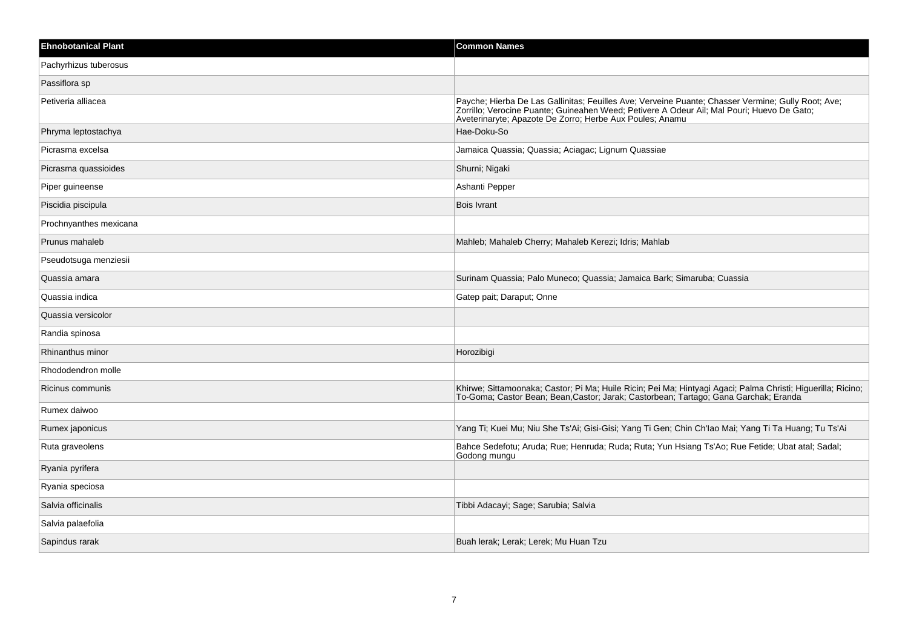| <b>Ehnobotanical Plant</b> | <b>Common Names</b>                                                                                                                                                                                                                                          |
|----------------------------|--------------------------------------------------------------------------------------------------------------------------------------------------------------------------------------------------------------------------------------------------------------|
| Pachyrhizus tuberosus      |                                                                                                                                                                                                                                                              |
| Passiflora sp              |                                                                                                                                                                                                                                                              |
| Petiveria alliacea         | Payche; Hierba De Las Gallinitas; Feuilles Ave; Verveine Puante; Chasser Vermine; Gully Root; Ave;<br>Zorrillo; Verocine Puante; Guineahen Weed; Petivere A Odeur Ail; Mal Pouri; Huevo De Gato;<br>Aveterinaryte; Apazote De Zorro; Herbe Aux Poules; Anamu |
| Phryma leptostachya        | Hae-Doku-So                                                                                                                                                                                                                                                  |
| Picrasma excelsa           | Jamaica Quassia; Quassia; Aciagac; Lignum Quassiae                                                                                                                                                                                                           |
| Picrasma quassioides       | Shurni; Nigaki                                                                                                                                                                                                                                               |
| Piper guineense            | Ashanti Pepper                                                                                                                                                                                                                                               |
| Piscidia piscipula         | <b>Bois Ivrant</b>                                                                                                                                                                                                                                           |
| Prochnyanthes mexicana     |                                                                                                                                                                                                                                                              |
| Prunus mahaleb             | Mahleb; Mahaleb Cherry; Mahaleb Kerezi; Idris; Mahlab                                                                                                                                                                                                        |
| Pseudotsuga menziesii      |                                                                                                                                                                                                                                                              |
| Quassia amara              | Surinam Quassia; Palo Muneco; Quassia; Jamaica Bark; Simaruba; Cuassia                                                                                                                                                                                       |
| Quassia indica             | Gatep pait; Daraput; Onne                                                                                                                                                                                                                                    |
| Quassia versicolor         |                                                                                                                                                                                                                                                              |
| Randia spinosa             |                                                                                                                                                                                                                                                              |
| Rhinanthus minor           | Horozibigi                                                                                                                                                                                                                                                   |
| Rhododendron molle         |                                                                                                                                                                                                                                                              |
| Ricinus communis           | Khirwe; Sittamoonaka; Castor; Pi Ma; Huile Ricin; Pei Ma; Hintyagi Agaci; Palma Christi; Higuerilla; Ricino;<br>To-Goma; Castor Bean; Bean, Castor; Jarak; Castorbean; Tartago; Gana Garchak; Eranda                                                         |
| Rumex daiwoo               |                                                                                                                                                                                                                                                              |
| Rumex japonicus            | Yang Ti; Kuei Mu; Niu She Ts'Ai; Gisi-Gisi; Yang Ti Gen; Chin Ch'lao Mai; Yang Ti Ta Huang; Tu Ts'Ai                                                                                                                                                         |
| Ruta graveolens            | Bahce Sedefotu; Aruda; Rue; Henruda; Ruda; Ruta; Yun Hsiang Ts'Ao; Rue Fetide; Ubat atal; Sadal;<br>Godong mungu                                                                                                                                             |
| Ryania pyrifera            |                                                                                                                                                                                                                                                              |
| Ryania speciosa            |                                                                                                                                                                                                                                                              |
| Salvia officinalis         | Tibbi Adacayi; Sage; Sarubia; Salvia                                                                                                                                                                                                                         |
| Salvia palaefolia          |                                                                                                                                                                                                                                                              |
| Sapindus rarak             | Buah lerak; Lerak; Lerek; Mu Huan Tzu                                                                                                                                                                                                                        |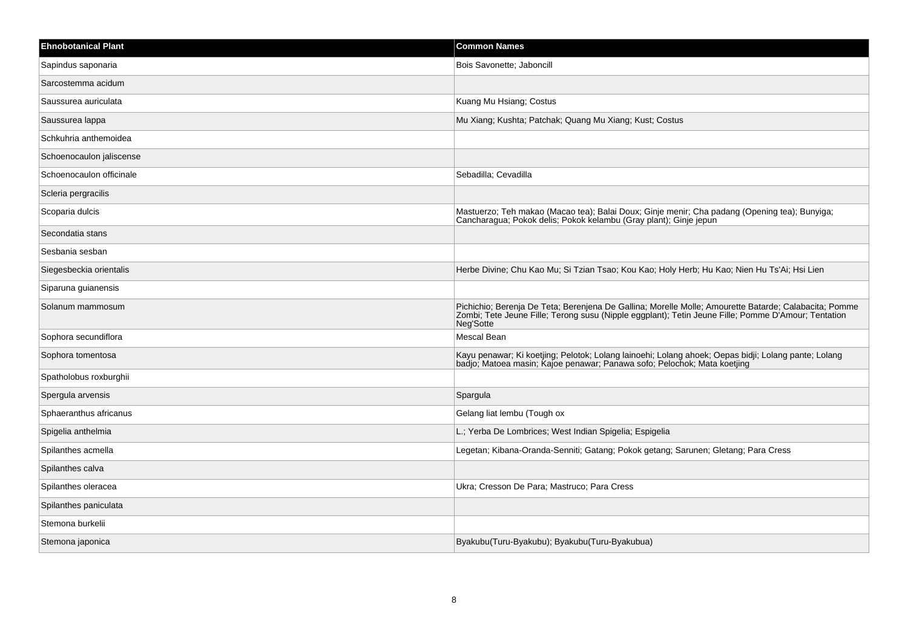| <b>Ehnobotanical Plant</b> | <b>Common Names</b>                                                                                                                                                                                                       |
|----------------------------|---------------------------------------------------------------------------------------------------------------------------------------------------------------------------------------------------------------------------|
| Sapindus saponaria         | Bois Savonette; Jaboncill                                                                                                                                                                                                 |
| Sarcostemma acidum         |                                                                                                                                                                                                                           |
| Saussurea auriculata       | Kuang Mu Hsiang; Costus                                                                                                                                                                                                   |
| Saussurea lappa            | Mu Xiang; Kushta; Patchak; Quang Mu Xiang; Kust; Costus                                                                                                                                                                   |
| Schkuhria anthemoidea      |                                                                                                                                                                                                                           |
| Schoenocaulon jaliscense   |                                                                                                                                                                                                                           |
| Schoenocaulon officinale   | Sebadilla; Cevadilla                                                                                                                                                                                                      |
| Scleria pergracilis        |                                                                                                                                                                                                                           |
| Scoparia dulcis            | Mastuerzo; Teh makao (Macao tea); Balai Doux; Ginje menir; Cha padang (Opening tea); Bunyiga;<br>Cancharagua; Pokok delis; Pokok kelambu (Gray plant); Ginje jepun                                                        |
| Secondatia stans           |                                                                                                                                                                                                                           |
| Sesbania sesban            |                                                                                                                                                                                                                           |
| Siegesbeckia orientalis    | Herbe Divine; Chu Kao Mu; Si Tzian Tsao; Kou Kao; Holy Herb; Hu Kao; Nien Hu Ts'Ai; Hsi Lien                                                                                                                              |
| Siparuna guianensis        |                                                                                                                                                                                                                           |
| Solanum mammosum           | Pichichio; Berenja De Teta; Berenjena De Gallina; Morelle Molle; Amourette Batarde; Calabacita; Pomme<br>Zombi; Tete Jeune Fille; Terong susu (Nipple eggplant); Tetin Jeune Fille; Pomme D'Amour; Tentation<br>Neg'Sotte |
| Sophora secundiflora       | Mescal Bean                                                                                                                                                                                                               |
| Sophora tomentosa          | Kayu penawar; Ki koetjing; Pelotok; Lolang lainoehi; Lolang ahoek; Oepas bidji; Lolang pante; Lolang<br>badjo; Matoea masin; Kajoe penawar; Panawa sofo; Pelochok; Mata koetjing                                          |
| Spatholobus roxburghii     |                                                                                                                                                                                                                           |
| Spergula arvensis          | Spargula                                                                                                                                                                                                                  |
| Sphaeranthus africanus     | Gelang liat lembu (Tough ox                                                                                                                                                                                               |
| Spigelia anthelmia         | L.; Yerba De Lombrices; West Indian Spigelia; Espigelia                                                                                                                                                                   |
| Spilanthes acmella         | Legetan; Kibana-Oranda-Senniti; Gatang; Pokok getang; Sarunen; Gletang; Para Cress                                                                                                                                        |
| Spilanthes calva           |                                                                                                                                                                                                                           |
| Spilanthes oleracea        | Ukra; Cresson De Para; Mastruco; Para Cress                                                                                                                                                                               |
| Spilanthes paniculata      |                                                                                                                                                                                                                           |
| Stemona burkelii           |                                                                                                                                                                                                                           |
| Stemona japonica           | Byakubu(Turu-Byakubu); Byakubu(Turu-Byakubua)                                                                                                                                                                             |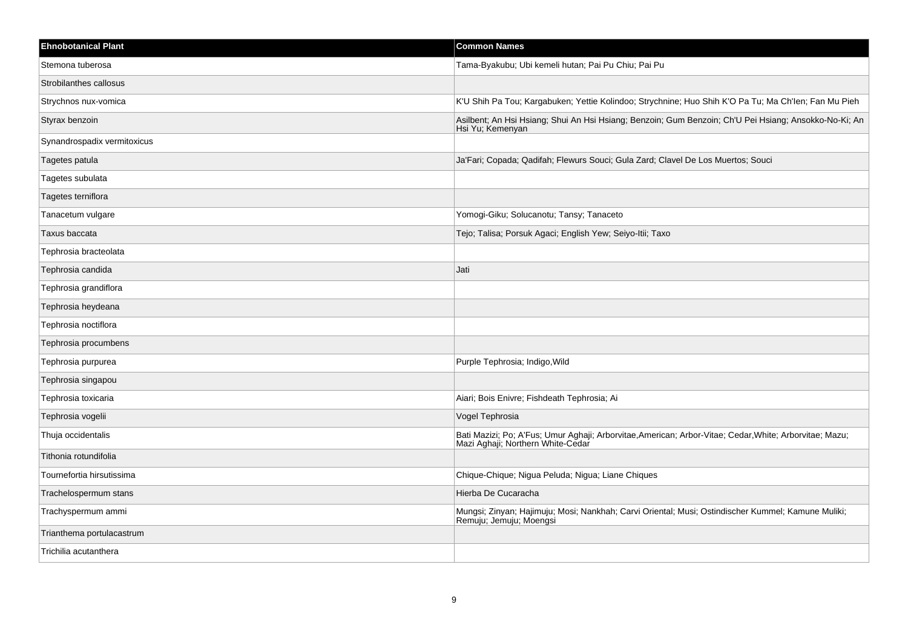| <b>Ehnobotanical Plant</b>  | <b>Common Names</b>                                                                                                                          |
|-----------------------------|----------------------------------------------------------------------------------------------------------------------------------------------|
| Stemona tuberosa            | Tama-Byakubu; Ubi kemeli hutan; Pai Pu Chiu; Pai Pu                                                                                          |
| Strobilanthes callosus      |                                                                                                                                              |
| Strychnos nux-vomica        | K'U Shih Pa Tou; Kargabuken; Yettie Kolindoo; Strychnine; Huo Shih K'O Pa Tu; Ma Ch'len; Fan Mu Pieh                                         |
| Styrax benzoin              | Asilbent; An Hsi Hsiang; Shui An Hsi Hsiang; Benzoin; Gum Benzoin; Ch'U Pei Hsiang; Ansokko-No-Ki; An<br>Hsi Yu; Kemenyan                    |
| Synandrospadix vermitoxicus |                                                                                                                                              |
| Tagetes patula              | Ja'Fari; Copada; Qadifah; Flewurs Souci; Gula Zard; Clavel De Los Muertos; Souci                                                             |
| Tagetes subulata            |                                                                                                                                              |
| Tagetes terniflora          |                                                                                                                                              |
| Tanacetum vulgare           | Yomogi-Giku; Solucanotu; Tansy; Tanaceto                                                                                                     |
| Taxus baccata               | Tejo; Talisa; Porsuk Agaci; English Yew; Seiyo-Itii; Taxo                                                                                    |
| Tephrosia bracteolata       |                                                                                                                                              |
| Tephrosia candida           | Jati                                                                                                                                         |
| Tephrosia grandiflora       |                                                                                                                                              |
| Tephrosia heydeana          |                                                                                                                                              |
| Tephrosia noctiflora        |                                                                                                                                              |
| Tephrosia procumbens        |                                                                                                                                              |
| Tephrosia purpurea          | Purple Tephrosia; Indigo, Wild                                                                                                               |
| Tephrosia singapou          |                                                                                                                                              |
| Tephrosia toxicaria         | Aiari; Bois Enivre; Fishdeath Tephrosia; Ai                                                                                                  |
| Tephrosia vogelii           | Vogel Tephrosia                                                                                                                              |
| Thuja occidentalis          | Bati Mazizi; Po; A'Fus; Umur Aghaji; Arborvitae, American; Arbor-Vitae; Cedar, White; Arborvitae; Mazu;<br>Mazi Aghaji; Northern White-Cedar |
| Tithonia rotundifolia       |                                                                                                                                              |
| Tournefortia hirsutissima   | Chique-Chique; Nigua Peluda; Nigua; Liane Chiques                                                                                            |
| Trachelospermum stans       | Hierba De Cucaracha                                                                                                                          |
| Trachyspermum ammi          | Mungsi; Zinyan; Hajimuju; Mosi; Nankhah; Carvi Oriental; Musi; Ostindischer Kummel; Kamune Muliki;<br>Remuju; Jemuju; Moengsi                |
| Trianthema portulacastrum   |                                                                                                                                              |
| Trichilia acutanthera       |                                                                                                                                              |